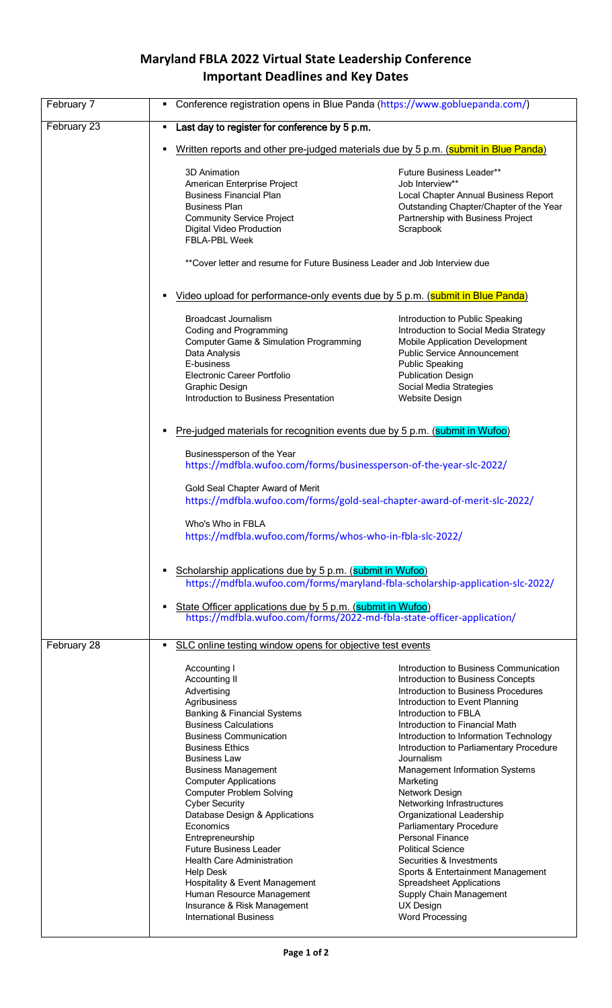## **Maryland FBLA 2022 Virtual State Leadership Conference Important Deadlines and Key Dates**

| February 7  | Conference registration opens in Blue Panda (https://www.gobluepanda.com/)<br>٠                                                                                                                                                                                                                                                                                                                                                                                                                                                                                                                                                         |                                                                                                                                                                                                                                                                                                                                                                                                                                                                                                                                                                                                                                                                                                              |  |
|-------------|-----------------------------------------------------------------------------------------------------------------------------------------------------------------------------------------------------------------------------------------------------------------------------------------------------------------------------------------------------------------------------------------------------------------------------------------------------------------------------------------------------------------------------------------------------------------------------------------------------------------------------------------|--------------------------------------------------------------------------------------------------------------------------------------------------------------------------------------------------------------------------------------------------------------------------------------------------------------------------------------------------------------------------------------------------------------------------------------------------------------------------------------------------------------------------------------------------------------------------------------------------------------------------------------------------------------------------------------------------------------|--|
| February 23 | Last day to register for conference by 5 p.m.<br>٠                                                                                                                                                                                                                                                                                                                                                                                                                                                                                                                                                                                      |                                                                                                                                                                                                                                                                                                                                                                                                                                                                                                                                                                                                                                                                                                              |  |
|             | Written reports and other pre-judged materials due by 5 p.m. (submit in Blue Panda)<br>٠                                                                                                                                                                                                                                                                                                                                                                                                                                                                                                                                                |                                                                                                                                                                                                                                                                                                                                                                                                                                                                                                                                                                                                                                                                                                              |  |
|             | <b>3D Animation</b><br>American Enterprise Project<br><b>Business Financial Plan</b><br><b>Business Plan</b><br><b>Community Service Project</b><br>Digital Video Production<br>FBLA-PBL Week<br>**Cover letter and resume for Future Business Leader and Job Interview due                                                                                                                                                                                                                                                                                                                                                             | <b>Future Business Leader**</b><br>Job Interview**<br>Local Chapter Annual Business Report<br>Outstanding Chapter/Chapter of the Year<br>Partnership with Business Project<br>Scrapbook                                                                                                                                                                                                                                                                                                                                                                                                                                                                                                                      |  |
|             |                                                                                                                                                                                                                                                                                                                                                                                                                                                                                                                                                                                                                                         |                                                                                                                                                                                                                                                                                                                                                                                                                                                                                                                                                                                                                                                                                                              |  |
|             | Video upload for performance-only events due by 5 p.m. (submit in Blue Panda)                                                                                                                                                                                                                                                                                                                                                                                                                                                                                                                                                           |                                                                                                                                                                                                                                                                                                                                                                                                                                                                                                                                                                                                                                                                                                              |  |
|             | Broadcast Journalism<br>Coding and Programming<br><b>Computer Game &amp; Simulation Programming</b><br>Data Analysis<br>E-business<br>Electronic Career Portfolio<br>Graphic Design<br>Introduction to Business Presentation                                                                                                                                                                                                                                                                                                                                                                                                            | Introduction to Public Speaking<br>Introduction to Social Media Strategy<br><b>Mobile Application Development</b><br><b>Public Service Announcement</b><br><b>Public Speaking</b><br><b>Publication Design</b><br>Social Media Strategies<br>Website Design                                                                                                                                                                                                                                                                                                                                                                                                                                                  |  |
|             | Pre-judged materials for recognition events due by 5 p.m. (submit in Wufoo)                                                                                                                                                                                                                                                                                                                                                                                                                                                                                                                                                             |                                                                                                                                                                                                                                                                                                                                                                                                                                                                                                                                                                                                                                                                                                              |  |
|             | Businessperson of the Year<br>https://mdfbla.wufoo.com/forms/businessperson-of-the-year-slc-2022/                                                                                                                                                                                                                                                                                                                                                                                                                                                                                                                                       |                                                                                                                                                                                                                                                                                                                                                                                                                                                                                                                                                                                                                                                                                                              |  |
|             | Gold Seal Chapter Award of Merit<br>https://mdfbla.wufoo.com/forms/gold-seal-chapter-award-of-merit-slc-2022/                                                                                                                                                                                                                                                                                                                                                                                                                                                                                                                           |                                                                                                                                                                                                                                                                                                                                                                                                                                                                                                                                                                                                                                                                                                              |  |
|             | Who's Who in FBLA<br>https://mdfbla.wufoo.com/forms/whos-who-in-fbla-slc-2022/                                                                                                                                                                                                                                                                                                                                                                                                                                                                                                                                                          |                                                                                                                                                                                                                                                                                                                                                                                                                                                                                                                                                                                                                                                                                                              |  |
|             | Scholarship applications due by 5 p.m. (submit in Wufoo)<br>https://mdfbla.wufoo.com/forms/maryland-fbla-scholarship-application-slc-2022/                                                                                                                                                                                                                                                                                                                                                                                                                                                                                              |                                                                                                                                                                                                                                                                                                                                                                                                                                                                                                                                                                                                                                                                                                              |  |
|             | State Officer applications due by 5 p.m. (submit in Wufoo)<br>https://mdfbla.wufoo.com/forms/2022-md-fbla-state-officer-application/                                                                                                                                                                                                                                                                                                                                                                                                                                                                                                    |                                                                                                                                                                                                                                                                                                                                                                                                                                                                                                                                                                                                                                                                                                              |  |
| February 28 | SLC online testing window opens for objective test events<br>٠                                                                                                                                                                                                                                                                                                                                                                                                                                                                                                                                                                          |                                                                                                                                                                                                                                                                                                                                                                                                                                                                                                                                                                                                                                                                                                              |  |
|             | Accounting I<br>Accounting II<br>Advertising<br>Agribusiness<br><b>Banking &amp; Financial Systems</b><br><b>Business Calculations</b><br><b>Business Communication</b><br><b>Business Ethics</b><br><b>Business Law</b><br><b>Business Management</b><br><b>Computer Applications</b><br><b>Computer Problem Solving</b><br><b>Cyber Security</b><br>Database Design & Applications<br>Economics<br>Entrepreneurship<br><b>Future Business Leader</b><br><b>Health Care Administration</b><br><b>Help Desk</b><br>Hospitality & Event Management<br>Human Resource Management<br>Insurance & Risk Management<br>International Business | Introduction to Business Communication<br>Introduction to Business Concepts<br>Introduction to Business Procedures<br>Introduction to Event Planning<br>Introduction to FBLA<br>Introduction to Financial Math<br>Introduction to Information Technology<br>Introduction to Parliamentary Procedure<br>Journalism<br>Management Information Systems<br>Marketing<br>Network Design<br>Networking Infrastructures<br>Organizational Leadership<br>Parliamentary Procedure<br><b>Personal Finance</b><br><b>Political Science</b><br>Securities & Investments<br>Sports & Entertainment Management<br><b>Spreadsheet Applications</b><br>Supply Chain Management<br><b>UX Design</b><br><b>Word Processing</b> |  |